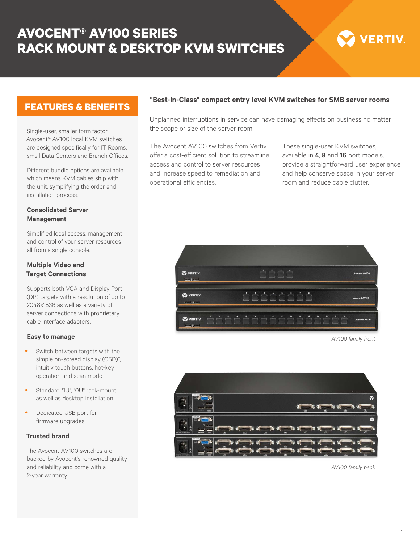# **AVOCENT® AV100 SERIES RACK MOUNT & DESKTOP KVM SWITCHES**



## **FEATURES & BENEFITS**

Single-user, smaller form factor Avocent® AV100 local KVM switches are designed specifically for IT Rooms, small Data Centers and Branch Offices.

Different bundle options are available which means KVM cables ship with the unit, symplifying the order and installation process.

#### **Consolidated Server Management**

Simplified local access, management and control of your server resources all from a single console.

#### **Multiple Video and Target Connections**

Supports both VGA and Display Port (DP) targets with a resolution of up to 2048x1536 as well as a variety of server connections with proprietary cable interface adapters.

#### **Easy to manage**

- Switch between targets with the simple on-screed display (OSD)\*, intuitiv touch buttons, hot-key operation and scan mode
- Standard "1U", "OU" rack-mount as well as desktop installation
- Dedicated USB port for firmware upgrades

#### **Trusted brand**

The Avocent AV100 switches are backed by Avocent's renowned quality and reliability and come with a 2-year warranty.

#### **"Best-In-Class" compact entry level KVM switches for SMB server rooms**

Unplanned interruptions in service can have damaging effects on business no matter the scope or size of the server room.

The Avocent AV100 switches from Vertiv offer a cost-efficient solution to streamline access and control to server resources and increase speed to remediation and operational efficiencies.

These single-user KVM switches, available in **4**, **8** and **16** port models, provide a straightforward user experience and help conserve space in your server room and reduce cable clutter.



*AV100 family front*



*AV100 family back*